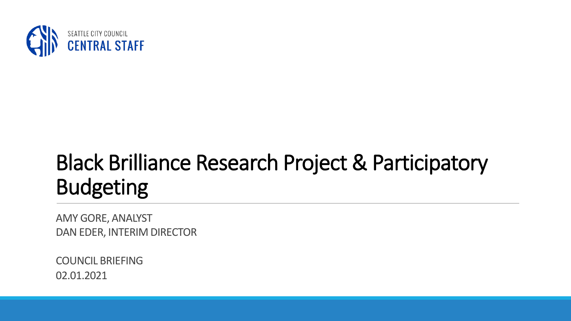

## Black Brilliance Research Project & Participatory Budgeting

AMY GORE, ANALYST DAN EDER, INTERIM DIRECTOR

COUNCIL BRIEFING 02.01.2021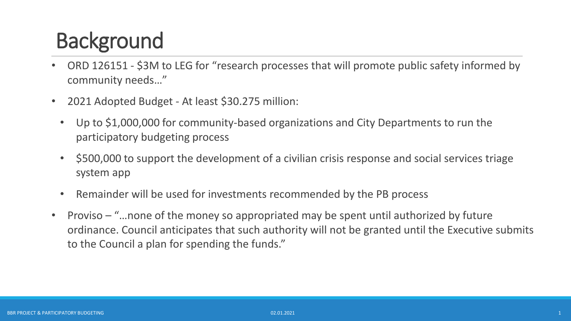## **Background**

- ORD 126151 \$3M to LEG for "research processes that will promote public safety informed by community needs…"
- 2021 Adopted Budget At least \$30.275 million:
	- Up to \$1,000,000 for community-based organizations and City Departments to run the participatory budgeting process
	- \$500,000 to support the development of a civilian crisis response and social services triage system app
	- Remainder will be used for investments recommended by the PB process
- Proviso "…none of the money so appropriated may be spent until authorized by future ordinance. Council anticipates that such authority will not be granted until the Executive submits to the Council a plan for spending the funds."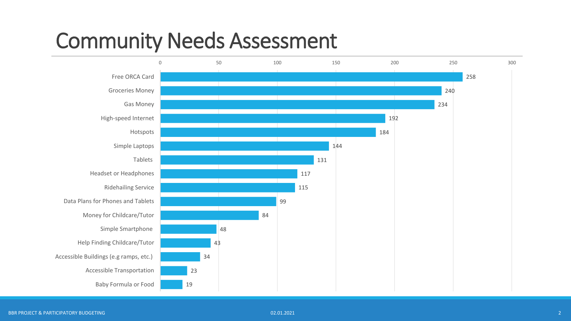#### Community Needs Assessment

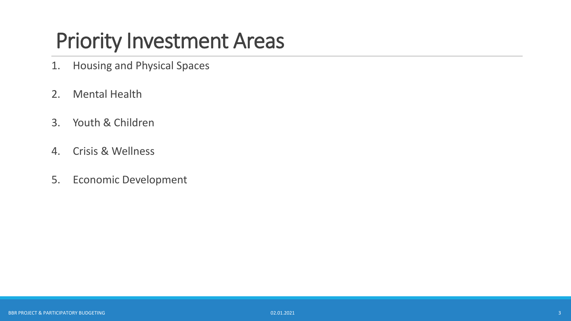#### Priority Investment Areas

- 1. Housing and Physical Spaces
- 2. Mental Health
- 3. Youth & Children
- 4. Crisis & Wellness
- 5. Economic Development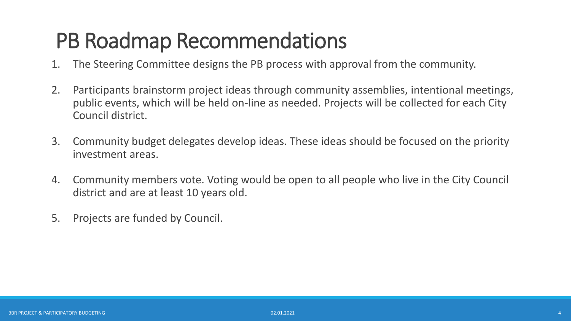#### PB Roadmap Recommendations

- 1. The Steering Committee designs the PB process with approval from the community.
- 2. Participants brainstorm project ideas through community assemblies, intentional meetings, public events, which will be held on-line as needed. Projects will be collected for each City Council district.
- 3. Community budget delegates develop ideas. These ideas should be focused on the priority investment areas.
- 4. Community members vote. Voting would be open to all people who live in the City Council district and are at least 10 years old.
- 5. Projects are funded by Council.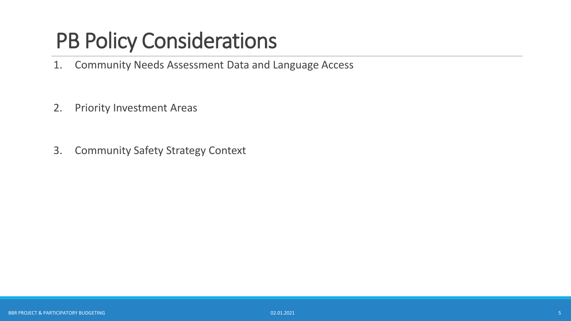## PB Policy Considerations

- 1. Community Needs Assessment Data and Language Access
- 2. Priority Investment Areas
- 3. Community Safety Strategy Context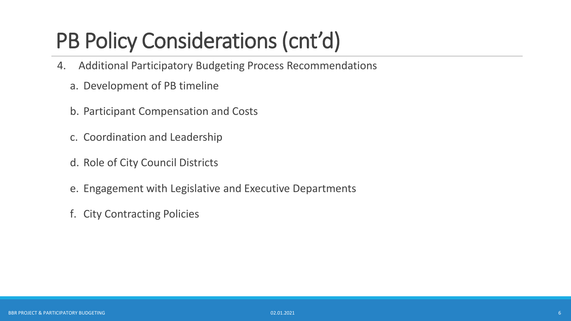# PB Policy Considerations (cnt'd)

- 4. Additional Participatory Budgeting Process Recommendations
	- a. Development of PB timeline
	- b. Participant Compensation and Costs
	- c. Coordination and Leadership
	- d. Role of City Council Districts
	- e. Engagement with Legislative and Executive Departments
	- f. City Contracting Policies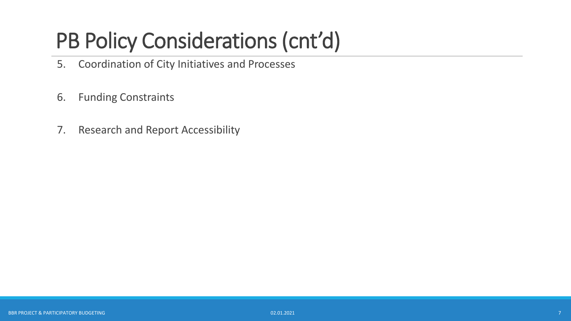# PB Policy Considerations (cnt'd)

- 5. Coordination of City Initiatives and Processes
- 6. Funding Constraints
- 7. Research and Report Accessibility